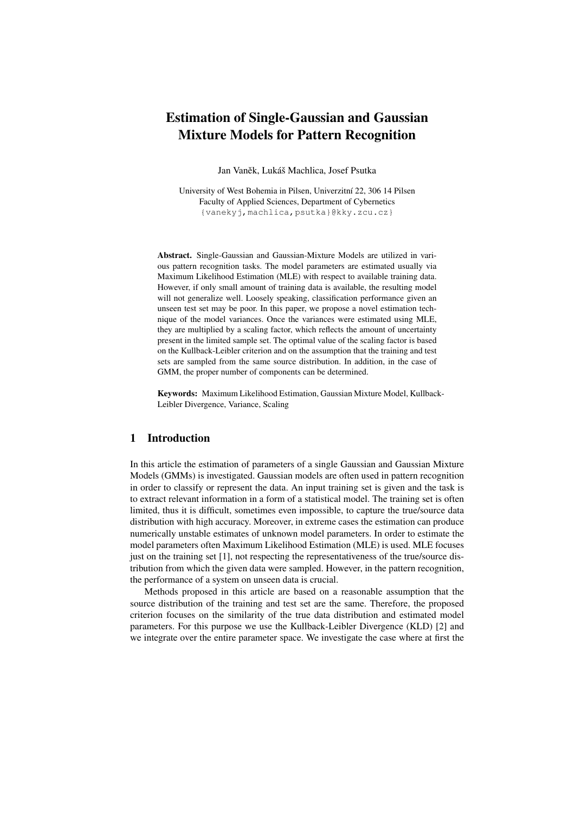# Estimation of Single-Gaussian and Gaussian Mixture Models for Pattern Recognition

Jan Vaněk, Lukáš Machlica, Josef Psutka

University of West Bohemia in Pilsen, Univerzitní 22, 306 14 Pilsen Faculty of Applied Sciences, Department of Cybernetics {vanekyj,machlica,psutka}@kky.zcu.cz}

Abstract. Single-Gaussian and Gaussian-Mixture Models are utilized in various pattern recognition tasks. The model parameters are estimated usually via Maximum Likelihood Estimation (MLE) with respect to available training data. However, if only small amount of training data is available, the resulting model will not generalize well. Loosely speaking, classification performance given an unseen test set may be poor. In this paper, we propose a novel estimation technique of the model variances. Once the variances were estimated using MLE, they are multiplied by a scaling factor, which reflects the amount of uncertainty present in the limited sample set. The optimal value of the scaling factor is based on the Kullback-Leibler criterion and on the assumption that the training and test sets are sampled from the same source distribution. In addition, in the case of GMM, the proper number of components can be determined.

Keywords: Maximum Likelihood Estimation, Gaussian Mixture Model, Kullback-Leibler Divergence, Variance, Scaling

# 1 Introduction

In this article the estimation of parameters of a single Gaussian and Gaussian Mixture Models (GMMs) is investigated. Gaussian models are often used in pattern recognition in order to classify or represent the data. An input training set is given and the task is to extract relevant information in a form of a statistical model. The training set is often limited, thus it is difficult, sometimes even impossible, to capture the true/source data distribution with high accuracy. Moreover, in extreme cases the estimation can produce numerically unstable estimates of unknown model parameters. In order to estimate the model parameters often Maximum Likelihood Estimation (MLE) is used. MLE focuses just on the training set [1], not respecting the representativeness of the true/source distribution from which the given data were sampled. However, in the pattern recognition, the performance of a system on unseen data is crucial.

Methods proposed in this article are based on a reasonable assumption that the source distribution of the training and test set are the same. Therefore, the proposed criterion focuses on the similarity of the true data distribution and estimated model parameters. For this purpose we use the Kullback-Leibler Divergence (KLD) [2] and we integrate over the entire parameter space. We investigate the case where at first the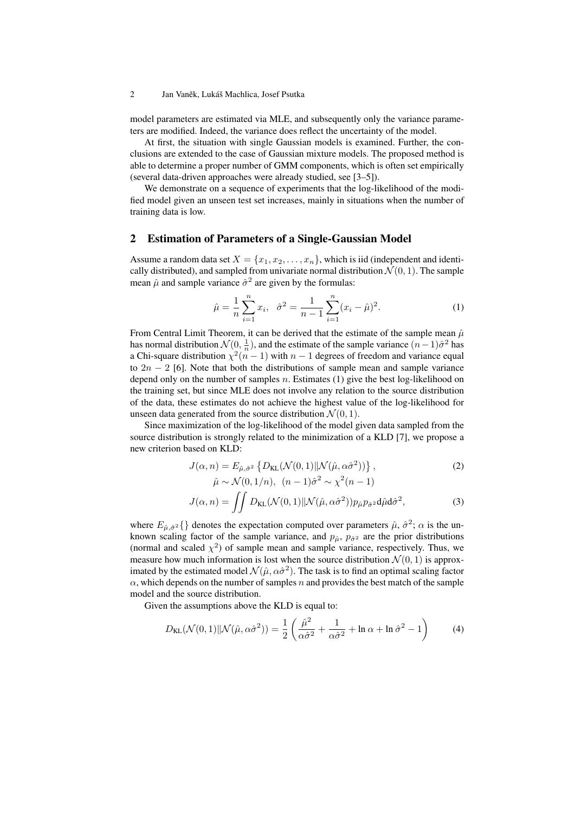model parameters are estimated via MLE, and subsequently only the variance parameters are modified. Indeed, the variance does reflect the uncertainty of the model.

At first, the situation with single Gaussian models is examined. Further, the conclusions are extended to the case of Gaussian mixture models. The proposed method is able to determine a proper number of GMM components, which is often set empirically (several data-driven approaches were already studied, see [3–5]).

We demonstrate on a sequence of experiments that the log-likelihood of the modified model given an unseen test set increases, mainly in situations when the number of training data is low.

## 2 Estimation of Parameters of a Single-Gaussian Model

Assume a random data set  $X = \{x_1, x_2, \ldots, x_n\}$ , which is iid (independent and identically distributed), and sampled from univariate normal distribution  $\mathcal{N}(0, 1)$ . The sample mean  $\hat{\mu}$  and sample variance  $\hat{\sigma}^2$  are given by the formulas:

$$
\hat{\mu} = \frac{1}{n} \sum_{i=1}^{n} x_i, \quad \hat{\sigma}^2 = \frac{1}{n-1} \sum_{i=1}^{n} (x_i - \hat{\mu})^2.
$$
 (1)

From Central Limit Theorem, it can be derived that the estimate of the sample mean  $\hat{\mu}$ has normal distribution  $\mathcal{N}(0, \frac{1}{n})$ , and the estimate of the sample variance  $(n-1)\hat{\sigma}^2$  has a Chi-square distribution  $\chi^2(n-1)$  with  $n-1$  degrees of freedom and variance equal to  $2n - 2$  [6]. Note that both the distributions of sample mean and sample variance depend only on the number of samples n. Estimates  $(1)$  give the best log-likelihood on the training set, but since MLE does not involve any relation to the source distribution of the data, these estimates do not achieve the highest value of the log-likelihood for unseen data generated from the source distribution  $\mathcal{N}(0, 1)$ .

Since maximization of the log-likelihood of the model given data sampled from the source distribution is strongly related to the minimization of a KLD [7], we propose a new criterion based on KLD:

$$
J(\alpha, n) = E_{\hat{\mu}, \hat{\sigma}^2} \left\{ D_{\text{KL}}(\mathcal{N}(0, 1) \| \mathcal{N}(\hat{\mu}, \alpha \hat{\sigma}^2)) \right\},
$$
  
\n
$$
\hat{\mu} \sim \mathcal{N}(0, 1/n), \ (n - 1)\hat{\sigma}^2 \sim \chi^2(n - 1)
$$
  
\n
$$
J(\alpha, n) = \iint D_{\text{KL}}(\mathcal{N}(0, 1) \| \mathcal{N}(\hat{\mu}, \alpha \hat{\sigma}^2)) p_{\hat{\mu}} p_{\hat{\sigma}^2} d\hat{\mu} d\hat{\sigma}^2,
$$
\n(3)

where  $E_{\hat{\mu},\hat{\sigma}^2}$  denotes the expectation computed over parameters  $\hat{\mu}, \hat{\sigma}^2$ ;  $\alpha$  is the unknown scaling factor of the sample variance, and  $p_{\hat{\mu}}, p_{\hat{\sigma}^2}$  are the prior distributions (normal and scaled  $\chi^2$ ) of sample mean and sample variance, respectively. Thus, we measure how much information is lost when the source distribution  $\mathcal{N}(0, 1)$  is approximated by the estimated model  $\mathcal{N}(\hat{\mu}, \alpha \hat{\sigma}^2)$ . The task is to find an optimal scaling factor  $\alpha$ , which depends on the number of samples n and provides the best match of the sample model and the source distribution.

Given the assumptions above the KLD is equal to:

$$
D_{\text{KL}}(\mathcal{N}(0,1) || \mathcal{N}(\hat{\mu}, \alpha \hat{\sigma}^2)) = \frac{1}{2} \left( \frac{\hat{\mu}^2}{\alpha \hat{\sigma}^2} + \frac{1}{\alpha \hat{\sigma}^2} + \ln \alpha + \ln \hat{\sigma}^2 - 1 \right)
$$
(4)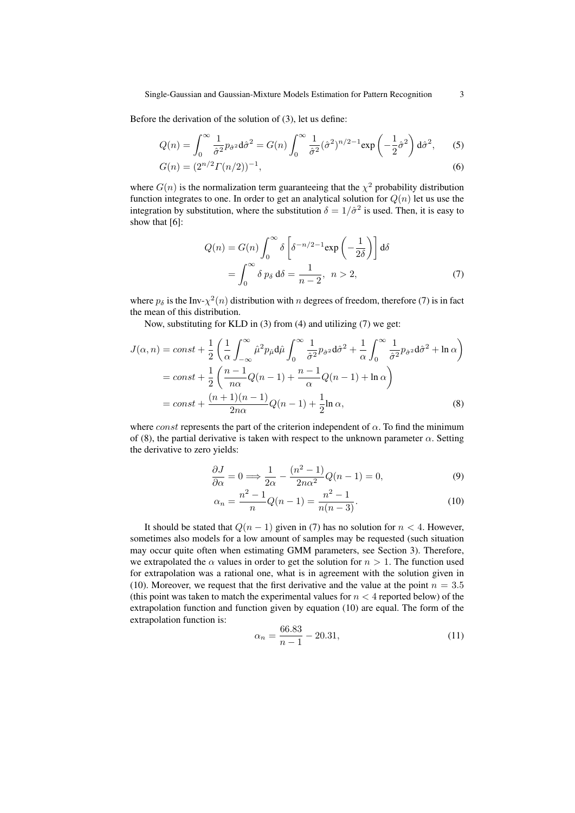Single-Gaussian and Gaussian-Mixture Models Estimation for Pattern Recognition 3

Before the derivation of the solution of (3), let us define:

$$
Q(n) = \int_0^\infty \frac{1}{\hat{\sigma}^2} p_{\hat{\sigma}^2} d\hat{\sigma}^2 = G(n) \int_0^\infty \frac{1}{\hat{\sigma}^2} (\hat{\sigma}^2)^{n/2 - 1} \exp\left(-\frac{1}{2}\hat{\sigma}^2\right) d\hat{\sigma}^2,
$$
 (5)

$$
G(n) = (2^{n/2} \Gamma(n/2))^{-1}, \tag{6}
$$

where  $G(n)$  is the normalization term guaranteeing that the  $\chi^2$  probability distribution function integrates to one. In order to get an analytical solution for  $Q(n)$  let us use the integration by substitution, where the substitution  $\delta = 1/\hat{\sigma}^2$  is used. Then, it is easy to show that [6]:

$$
Q(n) = G(n) \int_0^\infty \delta \left[ \delta^{-n/2 - 1} \exp\left( -\frac{1}{2\delta} \right) \right] d\delta
$$
  
= 
$$
\int_0^\infty \delta p_\delta d\delta = \frac{1}{n-2}, \ n > 2,
$$
 (7)

where  $p_{\delta}$  is the Inv- $\chi^2(n)$  distribution with n degrees of freedom, therefore (7) is in fact the mean of this distribution.

Now, substituting for KLD in (3) from (4) and utilizing (7) we get:

$$
J(\alpha, n) = const + \frac{1}{2} \left( \frac{1}{\alpha} \int_{-\infty}^{\infty} \hat{\mu}^2 p_{\hat{\mu}} d\hat{\mu} \int_0^{\infty} \frac{1}{\hat{\sigma}^2} p_{\hat{\sigma}^2} d\hat{\sigma}^2 + \frac{1}{\alpha} \int_0^{\infty} \frac{1}{\hat{\sigma}^2} p_{\hat{\sigma}^2} d\hat{\sigma}^2 + \ln \alpha \right)
$$
  
= const +  $\frac{1}{2} \left( \frac{n-1}{n\alpha} Q(n-1) + \frac{n-1}{\alpha} Q(n-1) + \ln \alpha \right)$   
= const +  $\frac{(n+1)(n-1)}{2n\alpha} Q(n-1) + \frac{1}{2} \ln \alpha$ , (8)

where  $const$  represents the part of the criterion independent of  $\alpha$ . To find the minimum of (8), the partial derivative is taken with respect to the unknown parameter  $\alpha$ . Setting the derivative to zero yields:

$$
\frac{\partial J}{\partial \alpha} = 0 \Longrightarrow \frac{1}{2\alpha} - \frac{(n^2 - 1)}{2n\alpha^2} Q(n - 1) = 0,\tag{9}
$$

$$
\alpha_n = \frac{n^2 - 1}{n} Q(n - 1) = \frac{n^2 - 1}{n(n - 3)}.
$$
\n(10)

It should be stated that  $Q(n-1)$  given in (7) has no solution for  $n < 4$ . However, sometimes also models for a low amount of samples may be requested (such situation may occur quite often when estimating GMM parameters, see Section 3). Therefore, we extrapolated the  $\alpha$  values in order to get the solution for  $n > 1$ . The function used for extrapolation was a rational one, what is in agreement with the solution given in (10). Moreover, we request that the first derivative and the value at the point  $n = 3.5$ (this point was taken to match the experimental values for  $n < 4$  reported below) of the extrapolation function and function given by equation (10) are equal. The form of the extrapolation function is:

$$
\alpha_n = \frac{66.83}{n - 1} - 20.31,\tag{11}
$$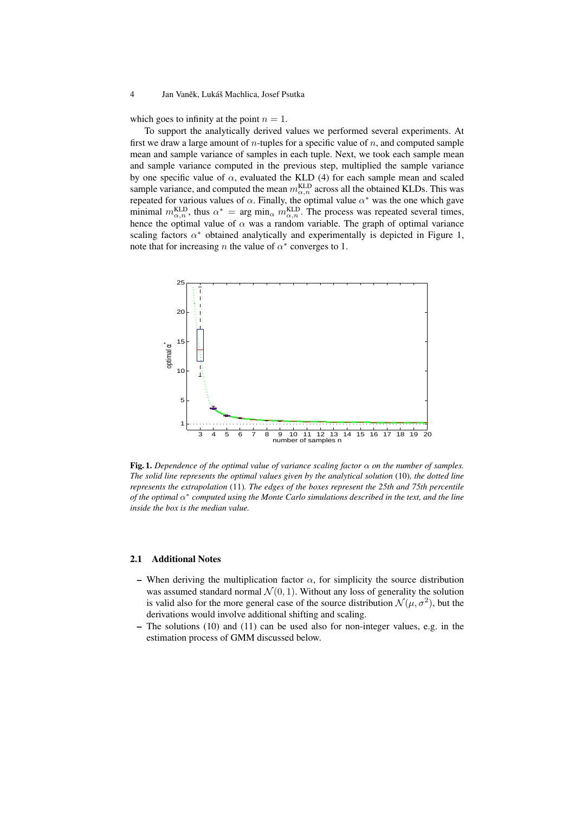which goes to infinity at the point  $n = 1$ .

To support the analytically derived values we performed several experiments. At first we draw a large amount of *n*-tuples for a specific value of  $n$ , and computed sample mean and sample variance of samples in each tuple. Next, we took each sample mean and sample variance computed in the previous step, multiplied the sample variance by one specific value of  $\alpha$ , evaluated the KLD (4) for each sample mean and scaled sample variance, and computed the mean  $m_{\alpha,n}^{KLD}$  across all the obtained KLDs. This was repeated for various values of  $\alpha$ . Finally, the optimal value  $\alpha^*$  was the one which gave minimal  $m_{\alpha,n}^{KLD}$ , thus  $\alpha^* = \arg \min_{\alpha} m_{\alpha,n}^{KLD}$ . The process was repeated several times, hence the optimal value of  $\alpha$  was a random variable. The graph of optimal variance scaling factors  $\alpha^*$  obtained analytically and experimentally is depicted in Figure 1, note that for increasing *n* the value of  $\alpha^*$  converges to 1.



Fig. 1. Dependence of the optimal value of variance scaling factor  $\alpha$  on the number of samples. *The solid line represents the optimal values given by the analytical solution* (10)*, the dotted line represents the extrapolation* (11)*. The edges of the boxes represent the 25th and 75th percentile of the optimal* α ∗ *computed using the Monte Carlo simulations described in the text, and the line inside the box is the median value.*

### 2.1 Additional Notes

- When deriving the multiplication factor  $\alpha$ , for simplicity the source distribution was assumed standard normal  $\mathcal{N}(0, 1)$ . Without any loss of generality the solution is valid also for the more general case of the source distribution  $\mathcal{N}(\mu, \sigma^2)$ , but the derivations would involve additional shifting and scaling.
- The solutions (10) and (11) can be used also for non-integer values, e.g. in the estimation process of GMM discussed below.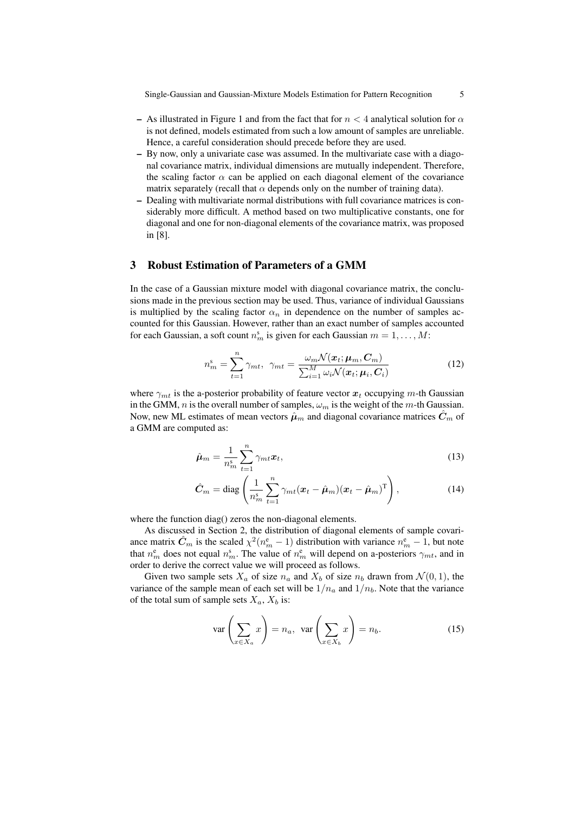Single-Gaussian and Gaussian-Mixture Models Estimation for Pattern Recognition 5

- As illustrated in Figure 1 and from the fact that for  $n < 4$  analytical solution for  $\alpha$ is not defined, models estimated from such a low amount of samples are unreliable. Hence, a careful consideration should precede before they are used.
- By now, only a univariate case was assumed. In the multivariate case with a diagonal covariance matrix, individual dimensions are mutually independent. Therefore, the scaling factor  $\alpha$  can be applied on each diagonal element of the covariance matrix separately (recall that  $\alpha$  depends only on the number of training data).
- Dealing with multivariate normal distributions with full covariance matrices is considerably more difficult. A method based on two multiplicative constants, one for diagonal and one for non-diagonal elements of the covariance matrix, was proposed in [8].

# 3 Robust Estimation of Parameters of a GMM

In the case of a Gaussian mixture model with diagonal covariance matrix, the conclusions made in the previous section may be used. Thus, variance of individual Gaussians is multiplied by the scaling factor  $\alpha_n$  in dependence on the number of samples accounted for this Gaussian. However, rather than an exact number of samples accounted for each Gaussian, a soft count  $n_m^s$  is given for each Gaussian  $m = 1, ..., M$ :

$$
n_m^s = \sum_{t=1}^n \gamma_{mt}, \ \gamma_{mt} = \frac{\omega_m \mathcal{N}(x_t; \mu_m, C_m)}{\sum_{i=1}^M \omega_i \mathcal{N}(x_t; \mu_i, C_i)}
$$
(12)

where  $\gamma_{mt}$  is the a-posterior probability of feature vector  $x_t$  occupying m-th Gaussian in the GMM, n is the overall number of samples,  $\omega_m$  is the weight of the m-th Gaussian. Now, new ML estimates of mean vectors  $\hat{\mu}_m$  and diagonal covariance matrices  $\hat{C}_m$  of a GMM are computed as:

$$
\hat{\boldsymbol{\mu}}_{m} = \frac{1}{n_m^s} \sum_{t=1}^{n} \gamma_{mt} \boldsymbol{x}_t,\tag{13}
$$

$$
\hat{C}_m = \text{diag}\left(\frac{1}{n_m^s}\sum_{t=1}^n \gamma_{mt} (\boldsymbol{x}_t - \hat{\boldsymbol{\mu}}_m)(\boldsymbol{x}_t - \hat{\boldsymbol{\mu}}_m)^T\right),\tag{14}
$$

where the function diag() zeros the non-diagonal elements.

As discussed in Section 2, the distribution of diagonal elements of sample covariance matrix  $\hat{C}_m$  is the scaled  $\chi^2(n_m^{\rm e}-1)$  distribution with variance  $n_m^{\rm e}-1$ , but note that  $n_m^e$  does not equal  $n_m^s$ . The value of  $n_m^e$  will depend on a-posteriors  $\gamma_{mt}$ , and in order to derive the correct value we will proceed as follows.

Given two sample sets  $X_a$  of size  $n_a$  and  $X_b$  of size  $n_b$  drawn from  $\mathcal{N}(0, 1)$ , the variance of the sample mean of each set will be  $1/n_a$  and  $1/n_b$ . Note that the variance of the total sum of sample sets  $X_a$ ,  $X_b$  is:

$$
\text{var}\left(\sum_{x \in X_a} x\right) = n_a, \quad \text{var}\left(\sum_{x \in X_b} x\right) = n_b. \tag{15}
$$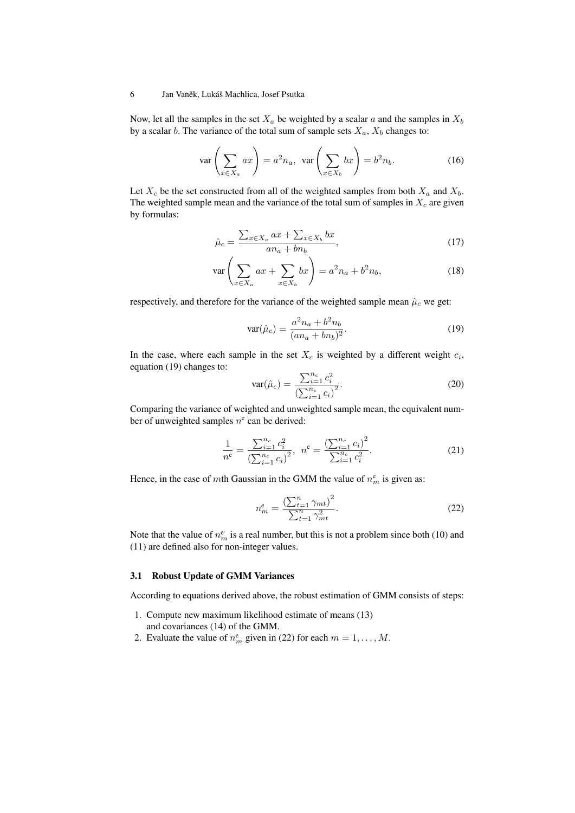Now, let all the samples in the set  $X_a$  be weighted by a scalar a and the samples in  $X_b$ by a scalar b. The variance of the total sum of sample sets  $X_a$ ,  $X_b$  changes to:

$$
\operatorname{var}\left(\sum_{x \in X_a} ax\right) = a^2 n_a, \quad \operatorname{var}\left(\sum_{x \in X_b} bx\right) = b^2 n_b. \tag{16}
$$

Let  $X_c$  be the set constructed from all of the weighted samples from both  $X_a$  and  $X_b$ . The weighted sample mean and the variance of the total sum of samples in  $X_c$  are given by formulas:

$$
\hat{\mu}_c = \frac{\sum_{x \in X_a} ax + \sum_{x \in X_b} bx}{an_a + bn_b},\tag{17}
$$

$$
\operatorname{var}\left(\sum_{x \in X_a} ax + \sum_{x \in X_b} bx\right) = a^2 n_a + b^2 n_b,\tag{18}
$$

respectively, and therefore for the variance of the weighted sample mean  $\hat{\mu}_c$  we get:

$$
\text{var}(\hat{\mu}_c) = \frac{a^2 n_a + b^2 n_b}{(an_a + bn_b)^2}.
$$
 (19)

In the case, where each sample in the set  $X_c$  is weighted by a different weight  $c_i$ , equation (19) changes to:

$$
\text{var}(\hat{\mu}_c) = \frac{\sum_{i=1}^{n_c} c_i^2}{\left(\sum_{i=1}^{n_c} c_i\right)^2}.
$$
 (20)

Comparing the variance of weighted and unweighted sample mean, the equivalent number of unweighted samples  $n^e$  can be derived:

$$
\frac{1}{n^e} = \frac{\sum_{i=1}^{n_c} c_i^2}{\left(\sum_{i=1}^{n_c} c_i\right)^2}, \quad n^e = \frac{\left(\sum_{i=1}^{n_c} c_i\right)^2}{\sum_{i=1}^{n_c} c_i^2}.
$$
\n(21)

Hence, in the case of mth Gaussian in the GMM the value of  $n_m^e$  is given as:

$$
n_m^e = \frac{\left(\sum_{t=1}^n \gamma_{mt}\right)^2}{\sum_{t=1}^n \gamma_{mt}^2}.
$$
 (22)

Note that the value of  $n_m^e$  is a real number, but this is not a problem since both (10) and (11) are defined also for non-integer values.

### 3.1 Robust Update of GMM Variances

According to equations derived above, the robust estimation of GMM consists of steps:

- 1. Compute new maximum likelihood estimate of means (13) and covariances (14) of the GMM.
- 2. Evaluate the value of  $n_m^e$  given in (22) for each  $m = 1, ..., M$ .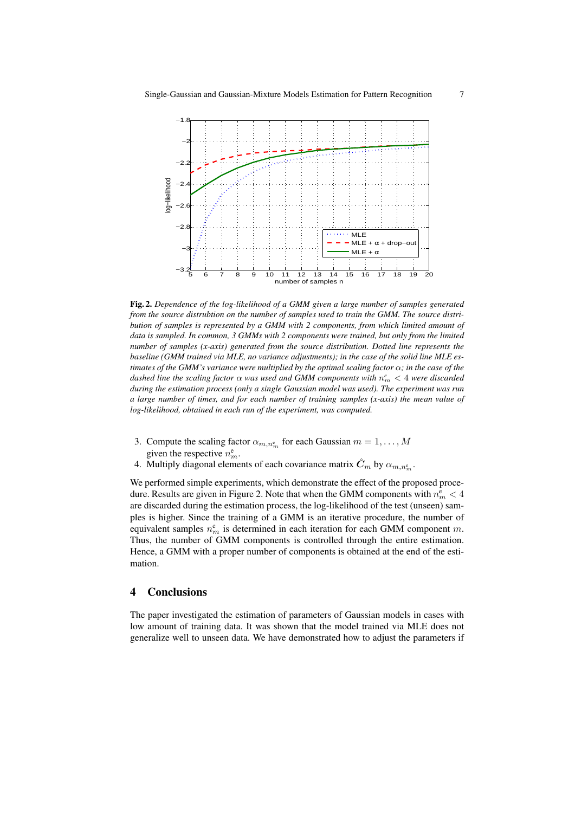

Fig. 2. *Dependence of the log-likelihood of a GMM given a large number of samples generated from the source distrubtion on the number of samples used to train the GMM. The source distribution of samples is represented by a GMM with 2 components, from which limited amount of data is sampled. In common, 3 GMMs with 2 components were trained, but only from the limited number of samples (x-axis) generated from the source distribution. Dotted line represents the baseline (GMM trained via MLE, no variance adjustments); in the case of the solid line MLE estimates of the GMM's variance were multiplied by the optimal scaling factor*  $\alpha$ *; in the case of the* dashed line the scaling factor  $\alpha$  was used and GMM components with  $n_m^e < 4$  were discarded *during the estimation process (only a single Gaussian model was used). The experiment was run a large number of times, and for each number of training samples (x-axis) the mean value of log-likelihood, obtained in each run of the experiment, was computed.*

- 3. Compute the scaling factor  $\alpha_{m,n_m^e}$  for each Gaussian  $m = 1, \ldots, M$ given the respective  $n_m^e$ .
- 4. Multiply diagonal elements of each covariance matrix  $\hat{C}_m$  by  $\alpha_{m,n_m^e}$ .

We performed simple experiments, which demonstrate the effect of the proposed procedure. Results are given in Figure 2. Note that when the GMM components with  $n_m^{\rm e} < 4$ are discarded during the estimation process, the log-likelihood of the test (unseen) samples is higher. Since the training of a GMM is an iterative procedure, the number of equivalent samples  $n_m^e$  is determined in each iteration for each GMM component m. Thus, the number of GMM components is controlled through the entire estimation. Hence, a GMM with a proper number of components is obtained at the end of the estimation.

# 4 Conclusions

The paper investigated the estimation of parameters of Gaussian models in cases with low amount of training data. It was shown that the model trained via MLE does not generalize well to unseen data. We have demonstrated how to adjust the parameters if